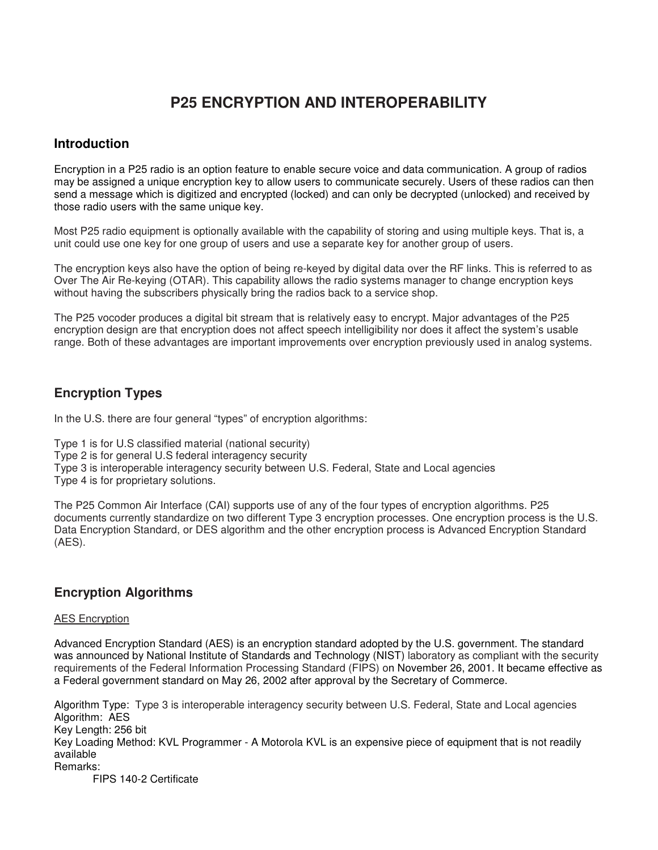# **P25 ENCRYPTION AND INTEROPERABILITY**

### **Introduction**

Encryption in a P25 radio is an option feature to enable secure voice and data communication. A group of radios may be assigned a unique encryption key to allow users to communicate securely. Users of these radios can then send a message which is digitized and encrypted (locked) and can only be decrypted (unlocked) and received by those radio users with the same unique key.

Most P25 radio equipment is optionally available with the capability of storing and using multiple keys. That is, a unit could use one key for one group of users and use a separate key for another group of users.

The encryption keys also have the option of being re-keyed by digital data over the RF links. This is referred to as Over The Air Re-keying (OTAR). This capability allows the radio systems manager to change encryption keys without having the subscribers physically bring the radios back to a service shop.

The P25 vocoder produces a digital bit stream that is relatively easy to encrypt. Major advantages of the P25 encryption design are that encryption does not affect speech intelligibility nor does it affect the system's usable range. Both of these advantages are important improvements over encryption previously used in analog systems.

# **Encryption Types**

In the U.S. there are four general "types" of encryption algorithms:

Type 1 is for U.S classified material (national security) Type 2 is for general U.S federal interagency security Type 3 is interoperable interagency security between U.S. Federal, State and Local agencies Type 4 is for proprietary solutions.

The P25 Common Air Interface (CAI) supports use of any of the four types of encryption algorithms. P25 documents currently standardize on two different Type 3 encryption processes. One encryption process is the U.S. Data Encryption Standard, or DES algorithm and the other encryption process is Advanced Encryption Standard (AES).

# **Encryption Algorithms**

#### AES Encryption

Advanced Encryption Standard (AES) is an encryption standard adopted by the U.S. government. The standard was announced by National Institute of Standards and Technology (NIST) laboratory as compliant with the security requirements of the Federal Information Processing Standard (FIPS) on November 26, 2001. It became effective as a Federal government standard on May 26, 2002 after approval by the Secretary of Commerce.

Algorithm Type: Type 3 is interoperable interagency security between U.S. Federal, State and Local agencies Algorithm: AES Key Length: 256 bit Key Loading Method: KVL Programmer - A Motorola KVL is an expensive piece of equipment that is not readily available Remarks:

FIPS 140-2 Certificate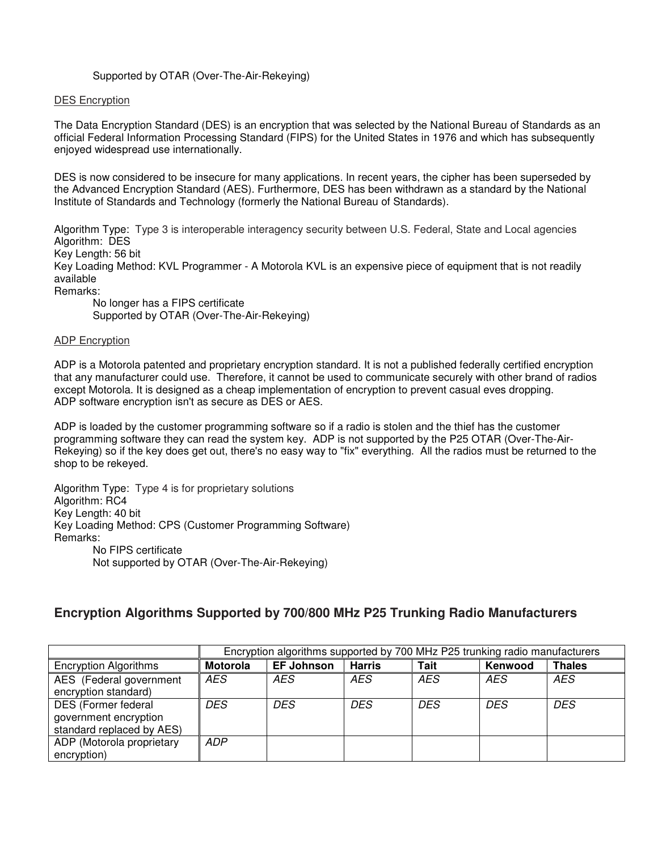#### Supported by OTAR (Over-The-Air-Rekeying)

#### DES Encryption

The Data Encryption Standard (DES) is an encryption that was selected by the National Bureau of Standards as an official Federal Information Processing Standard (FIPS) for the United States in 1976 and which has subsequently enjoyed widespread use internationally.

DES is now considered to be insecure for many applications. In recent years, the cipher has been superseded by the Advanced Encryption Standard (AES). Furthermore, DES has been withdrawn as a standard by the National Institute of Standards and Technology (formerly the National Bureau of Standards).

Algorithm Type: Type 3 is interoperable interagency security between U.S. Federal, State and Local agencies Algorithm: DES

Key Length: 56 bit

Key Loading Method: KVL Programmer - A Motorola KVL is an expensive piece of equipment that is not readily available

Remarks:

No longer has a FIPS certificate Supported by OTAR (Over-The-Air-Rekeying)

#### ADP Encryption

ADP is a Motorola patented and proprietary encryption standard. It is not a published federally certified encryption that any manufacturer could use. Therefore, it cannot be used to communicate securely with other brand of radios except Motorola. It is designed as a cheap implementation of encryption to prevent casual eves dropping. ADP software encryption isn't as secure as DES or AES.

ADP is loaded by the customer programming software so if a radio is stolen and the thief has the customer programming software they can read the system key. ADP is not supported by the P25 OTAR (Over-The-Air-Rekeying) so if the key does get out, there's no easy way to "fix" everything. All the radios must be returned to the shop to be rekeyed.

Algorithm Type: Type 4 is for proprietary solutions Algorithm: RC4 Key Length: 40 bit Key Loading Method: CPS (Customer Programming Software) Remarks: No FIPS certificate Not supported by OTAR (Over-The-Air-Rekeying)

### **Encryption Algorithms Supported by 700/800 MHz P25 Trunking Radio Manufacturers**

|                                                                           | Encryption algorithms supported by 700 MHz P25 trunking radio manufacturers |                   |            |             |         |               |
|---------------------------------------------------------------------------|-----------------------------------------------------------------------------|-------------------|------------|-------------|---------|---------------|
| <b>Encryption Algorithms</b>                                              | <b>Motorola</b>                                                             | <b>EF Johnson</b> | Harris     | <b>Tait</b> | Kenwood | <b>Thales</b> |
| AES (Federal government<br>encryption standard)                           | <b>AES</b>                                                                  | AES               | AES        | AES         | AES     | <b>AES</b>    |
| DES (Former federal<br>government encryption<br>standard replaced by AES) | DES.                                                                        | DES               | <b>DES</b> | DES.        | DES     | DES           |
| ADP (Motorola proprietary<br>encryption)                                  | <b>ADP</b>                                                                  |                   |            |             |         |               |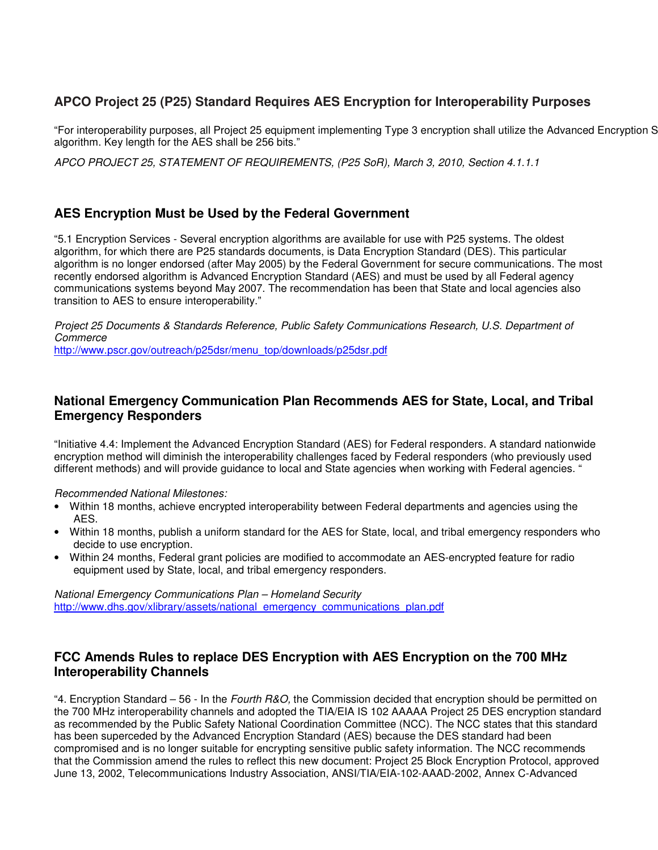# **APCO Project 25 (P25) Standard Requires AES Encryption for Interoperability Purposes**

"For interoperability purposes, all Project 25 equipment implementing Type 3 encryption shall utilize the Advanced Encryption S algorithm. Key length for the AES shall be 256 bits."

APCO PROJECT 25, STATEMENT OF REQUIREMENTS, (P25 SoR), March 3, 2010, Section 4.1.1.1

### **AES Encryption Must be Used by the Federal Government**

"5.1 Encryption Services - Several encryption algorithms are available for use with P25 systems. The oldest algorithm, for which there are P25 standards documents, is Data Encryption Standard (DES). This particular algorithm is no longer endorsed (after May 2005) by the Federal Government for secure communications. The most recently endorsed algorithm is Advanced Encryption Standard (AES) and must be used by all Federal agency communications systems beyond May 2007. The recommendation has been that State and local agencies also transition to AES to ensure interoperability."

Project 25 Documents & Standards Reference, Public Safety Communications Research, U.S. Department of **Commerce** http://www.pscr.gov/outreach/p25dsr/menu\_top/downloads/p25dsr.pdf

### **National Emergency Communication Plan Recommends AES for State, Local, and Tribal Emergency Responders**

"Initiative 4.4: Implement the Advanced Encryption Standard (AES) for Federal responders. A standard nationwide encryption method will diminish the interoperability challenges faced by Federal responders (who previously used different methods) and will provide guidance to local and State agencies when working with Federal agencies. "

Recommended National Milestones:

- Within 18 months, achieve encrypted interoperability between Federal departments and agencies using the AES.
- Within 18 months, publish a uniform standard for the AES for State, local, and tribal emergency responders who decide to use encryption.
- Within 24 months, Federal grant policies are modified to accommodate an AES-encrypted feature for radio equipment used by State, local, and tribal emergency responders.

National Emergency Communications Plan – Homeland Security http://www.dhs.gov/xlibrary/assets/national\_emergency\_communications\_plan.pdf

### **FCC Amends Rules to replace DES Encryption with AES Encryption on the 700 MHz Interoperability Channels**

"4. Encryption Standard – 56 - In the Fourth R&O, the Commission decided that encryption should be permitted on the 700 MHz interoperability channels and adopted the TIA/EIA IS 102 AAAAA Project 25 DES encryption standard as recommended by the Public Safety National Coordination Committee (NCC). The NCC states that this standard has been superceded by the Advanced Encryption Standard (AES) because the DES standard had been compromised and is no longer suitable for encrypting sensitive public safety information. The NCC recommends that the Commission amend the rules to reflect this new document: Project 25 Block Encryption Protocol, approved June 13, 2002, Telecommunications Industry Association, ANSI/TIA/EIA-102-AAAD-2002, Annex C-Advanced